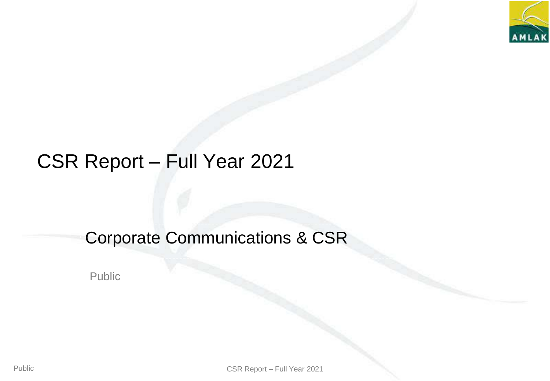

# CSR Report – Full Year 2021

## Corporate Communications & CSR

Public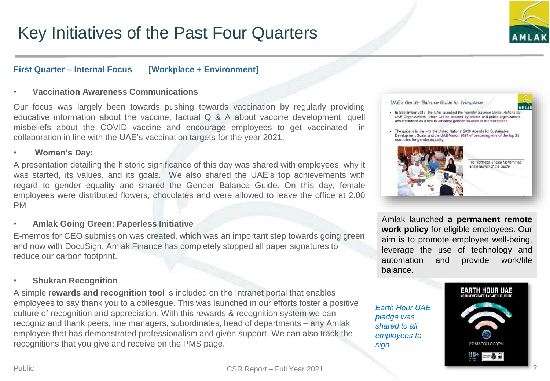## **First Quarter – Internal Focus [Workplace + Environment]**

### • **Vaccination Awareness Communications**

Our focus was largely been towards pushing towards vaccination by regularly providing educative information about the vaccine, factual Q & A about vaccine development, quell misbeliefs about the COVID vaccine and encourage employees to get vaccinated in collaboration in line with the UAE's vaccination targets for the year 2021.

### • **Women's Day:**

A presentation detailing the historic significance of this day was shared with employees, why it was started, its values, and its goals. We also shared the UAE's top achievements with regard to gender equality and shared the Gender Balance Guide. On this day, female employees were distributed flowers, chocolates and were allowed to leave the office at 2:00 PM

### • **Amlak Going Green: Paperless Initiative**

E-memos for CEO submission was created, which was an important step towards going green and now with DocuSign, Amlak Finance has completely stopped all paper signatures to reduce our carbon footprint.

### • **Shukran Recognition**

A simple **rewards and recognition tool** is included on the Intranet portal that enables employees to say thank you to a colleague. This was launched in our efforts foster a positive culture of recognition and appreciation. With this rewards & recognition system we can recogniz and thank peers, line managers, subordinates, head of departments – any Amlak employee that has demonstrated professionalism and given support. We can also track the recognitions that you give and receive on the PMS page.



Amlak launched **a permanent remote work policy** for eligible employees. Our aim is to promote employee well-being, leverage the use of technology and automation and provide work/life balance.

*Earth Hour UAE pledge was shared to all employees to sign*

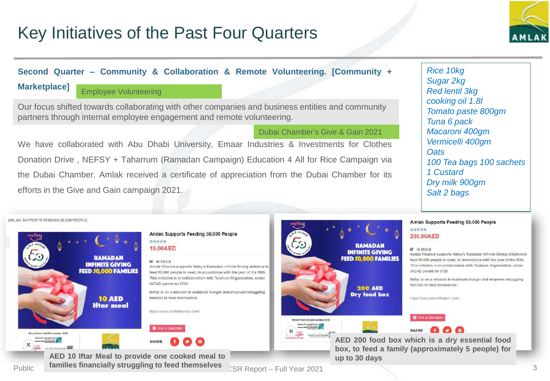

## **Second Quarter – Community & Collaboration & Remote Volunteering. [Community +**

## **Marketplace]**

## Employee Volunteering

Our focus shifted towards collaborating with other companies and business entities and community partners through internal employee engagement and remote volunteering.

### Dubai Chamber's Give & Gain 2021

We have collaborated with Abu Dhabi University, Emaar Industries & Investments for Clothes Donation Drive , NEFSY + Taharrum (Ramadan Campaign) Education 4 All for Rice Campaign via the Dubai Chamber. Amlak received a certificate of appreciation from the Dubai Chamber for its efforts in the Give and Gain campaign 2021.

*Rice 10kg Sugar 2kg Red lentil 3kg cooking oil 1.8l Tomato paste 800gm Tuna 6 pack Macaroni 400gm Vermicelli 400gm Oats 100 Tea bags 100 sachets 1 Custard Dry milk 900gm Salt 2 bags*

AMLAK SUPPORTS FEEDING 50,000 PEOPLE



### Amlak Supports Feeding 50,000 People \*\*\*\*\* 10.00AED

#### **RE IN STOCK**

Amlak Finance supports Nefsy's Ramadan Infinite Giving initiative to feed 50,000 people in need, in accordance with the year of the 50th. This initiative is in collaboration with Tarahum Organization, under IACAD permit no 3720

Nefsy is on a mission to eradicate hunger and empower struggling families to feed themselves

https://www.amlaktinance.com/



Public Full Year 2021 **AED 10 Iftar Meal to provide one cooked meal to up to 30 days families financially struggling to feed themselves**



#### Amlak Supports Feeding 50,000 People

#### 自自自自自 200.00AED



**AED 200 food box which is a dry essential food box, to feed a family (approximately 5 people) for**

3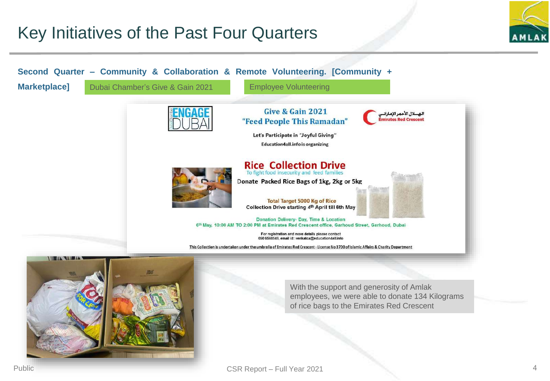

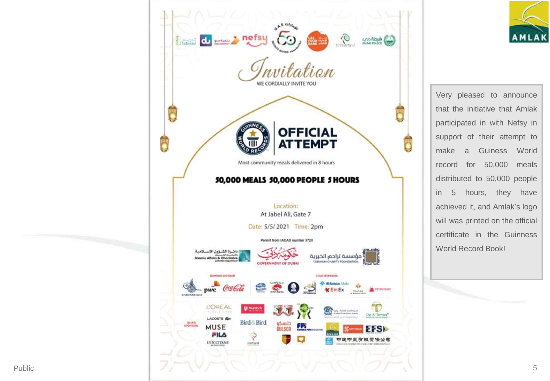



Very pleased to announce that the initiative that Amlak participated in with Nefsy in support of their attempt to make a Guiness World record for 50,000 meals distributed to 50,000 people in 5 hours, they have achieved it, and Amlak's logo will was printed on the official certificate in the Guinness World Record Book!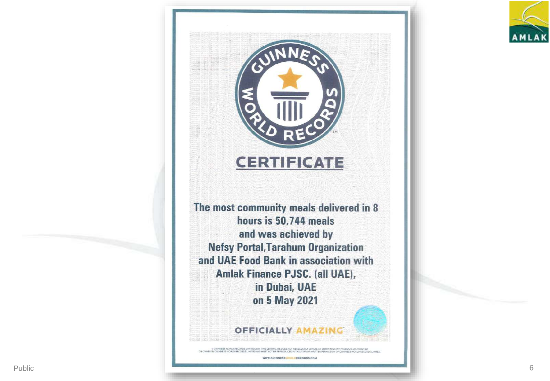



INESS WORLD RECORDS LIMITED 20%, THIS CERTIFICATE DOES NOT NECESSARILY DI NTO ANY PRODUCTS OISTRIBUTE OR CWINED BY CULVARIES WORLD RECORDS LIMITED AND

WWW.GUINNESS NORLDRECORDS.COM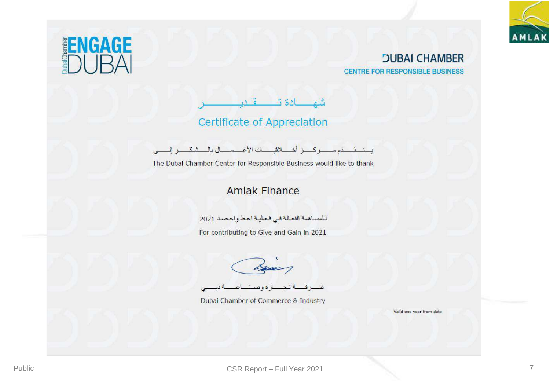



## **JUBAI CHAMBER CENTRE FOR RESPONSIBLE BUSINESS**

شھادة تــــــــقــدبـ **Certificate of Appreciation** 

يستسقم دم سسركسز أخسلاقيسات الأعسمسال بالمستدك ح العصبي.

The Dubai Chamber Center for Responsible Business would like to thank

## **Amlak Finance**

للمساهمة الفعالة في فعالية اعط واحصد 2021

For contributing to Give and Gain in 2021

Dubai Chamber of Commerce & Industry

Valid one year from date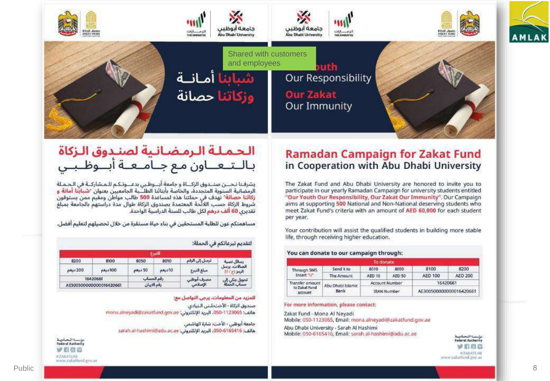

## الحملة الرمضانية لصندوق الزكاة باللتعناون مع جناميعية أبنوظ بني

يشرفنا نحبين صنبدوق الزكباة وجامعة أبيوظبي بدعبوتكم للمشاركية في الحملة الرمضانية السنوية المتجددة، والخاصة بأبنائنا الطلــّـبة الجامعيين بعنوان 'شياقنا أمانة و رَكَاتِنا حصانة" نهدف في حملتنا هذه لمساعدة 500 طالب مواطن ومقيم ممن يستوفون شروط الزكاة حسب اللائحة المعتمدة بصندوق الزكاة طوال مدة دراستهم بالجامعة بمبلغ تقديري 60 ألف درهم لكل طالب للسنة الدراسية الواحدة.

مساهمتكم عون للطلبة المستحقين في بناء حياة مستقرة من خلال تحصيلهم لتعليم أفضل.

|                         |         |             | الشرع  |                         |                                |  |
|-------------------------|---------|-------------|--------|-------------------------|--------------------------------|--|
| 8200                    | 8100    | 8050        | 8010   | ترسل إلى الرقم          | رسائل لصية                     |  |
| p.ky. 200               | DDFcc4n | OP color    | 10درهم | مبلغ التبرع             | اتصالات، برسل<br>الرمز (ج / ا) |  |
| 16420661                |         | رقم الحساب  |        | مصرف أبوظبي<br>الإسلامي | تحويل بنكي إلى<br>حساب الحملة  |  |
| AE300500000000016420661 |         | رقم الايبان |        |                         |                                |  |

لتقديم تبرعاتكم في الحملة:

للمزيد من المعلومات، يرجى التواصل مع:

صندوق الزكاة - الأخت مُننى النيادي mona.alneyadi@zakatfund.gov.ae البريد الإلكتروني: mona.alneyadi@zakatfund.gov.ae

جامعة أبوظبي - الأخت؛ شارة الهاشمي

هاتف: 050-6165416، البريد الإلكتروني: sarah.al-hashimi@adu.ac.ae

#### مؤسسة الحادينة Federal Authority VIDO **#ZAKATLIAE** www.zakathind.gov.ae

## **Ramadan Campaign for Zakat Fund** in Cooperation with Abu Dhabi University

The Zakat Fund and Abu Dhabi University are honored to invite you to participate in our yearly Ramadan Campaign for university students entitled "Our Youth Our Responsibility, Our Zakat Our Immunity". Our Campaign aims at supporting 500 National and Non-National deserving students who meet Zakat Fund's criteria with an amount of AED 60,000 for each student per year.

Your contribution will assist the qualified students in building more stable life, through receiving higher education.

#### You can donate to our campaign through:

|                                             |                           | To donate          |        |                         |         |
|---------------------------------------------|---------------------------|--------------------|--------|-------------------------|---------|
| Through SMS<br>Insert U                     | Send it to:               | 8010               | 8050   | 8100                    | 8200    |
|                                             | The Amount                | <b>AED 10</b>      | AFD 50 | <b>AED 100</b>          | AED 200 |
| Transfer amount<br>to Zakat Fund<br>account | Abu Dhabi Islamic<br>Bank | Account Number     |        | 16420661                |         |
|                                             |                           | <b>IBAN Number</b> |        | AE300500000000016420661 |         |

For more information, please contact:

Zakat Fund - Mona Al Neyadi Mobile: 050-1123065, Email: mona.alneyadi@zakatfund.gov.ae

Abu Dhabi University - Sarah Al Hashimi Mobile: 050-6165416, Email: sarah.al-hashimi@adu.ac.ae



www.zakatiund.gov.ao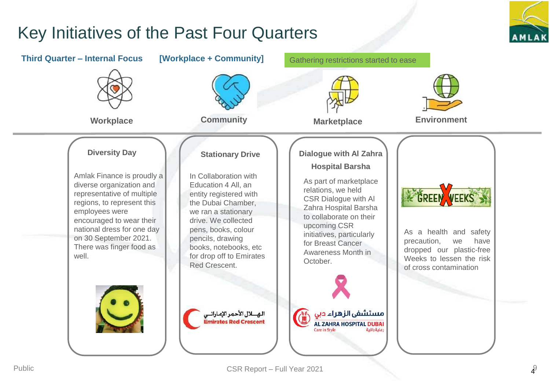

9 4

## Key Initiatives of the Past Four Quarters

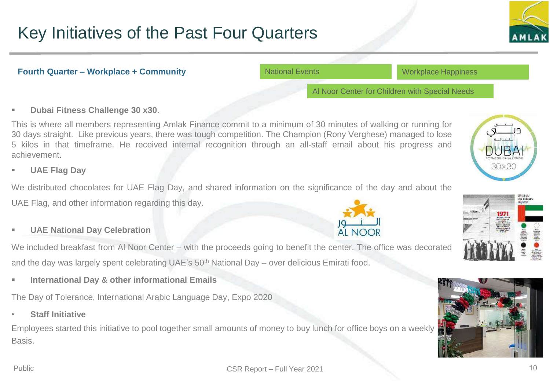

### **Fourth Quarter – Workplace + Community**

National Events

Workplace Happiness

Al Noor Center for Children with Special Needs

## **Dubai Fitness Challenge 30 x30**.

This is where all members representing Amlak Finance commit to a minimum of 30 minutes of walking or running for 30 days straight. Like previous years, there was tough competition. The Champion (Rony Verghese) managed to lose 5 kilos in that timeframe. He received internal recognition through an all-staff email about his progress and achievement.

**UAE Flag Day**

We distributed chocolates for UAE Flag Day, and shared information on the significance of the day and about the UAE Flag, and other information regarding this day.

## **UAE National Day Celebration**

We included breakfast from AI Noor Center – with the proceeds going to benefit the center. The office was decorated and the day was largely spent celebrating UAE's 50<sup>th</sup> National Day – over delicious Emirati food.

**International Day & other informational Emails**

The Day of Tolerance, International Arabic Language Day, Expo 2020

• **Staff Initiative**

Employees started this initiative to pool together small amounts of money to buy lunch for office boys on a weekly Basis.







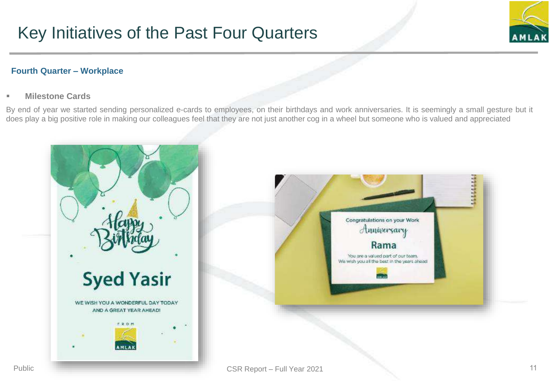

## **Fourth Quarter – Workplace**

## **Milestone Cards**

By end of year we started sending personalized e-cards to employees, on their birthdays and work anniversaries. It is seemingly a small gesture but it does play a big positive role in making our colleagues feel that they are not just another cog in a wheel but someone who is valued and appreciated